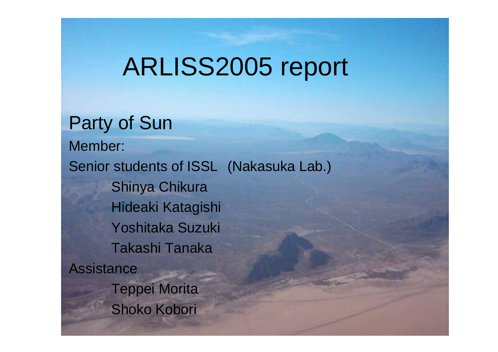### ARLISS2005 report

Party of Sun Member: Senior students of ISSL (Nakasuka Lab.) Shinya Chikura Hideaki Katagishi Yoshitaka Suzuki Takashi Tanaka**Assistance** Teppei Morita Shoko Kobori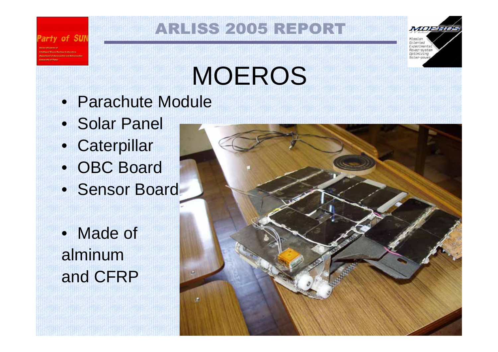#### **ARLISS 2005 REPORT**



# MOEROS

- Parachute Module
- Solar Panel

of SUN

- Caterpillar
- OBC Board
- Sensor Board
- Made of alminumand CFRP

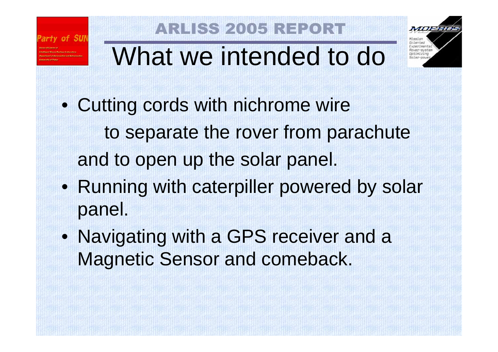

### **LISS 2005 REPO**



# What we intended to do

- Cutting cords with nichrome wire to separate the rover from parachute and to open up the solar panel.
- Running with caterpiller powered by solar panel.
- Navigating with a GPS receiver and a Magnetic Sensor and comeback.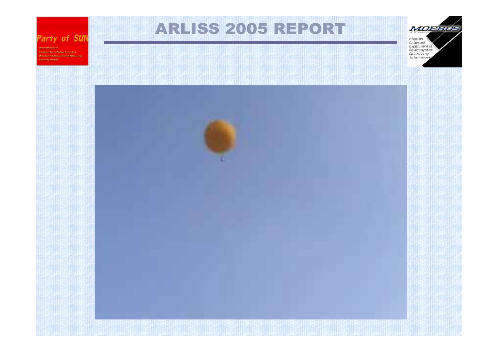#### Party of SUN

Intelligent Cooce Oprises Antonytony Beautions of discoveries and defense ties. **Colombia of Tokes** 

#### **ARLISS 2005 REPORT**

Mission<br>Oriented Experimental<br>Rover-ayatem Optimizing Solar-power

MOEFINS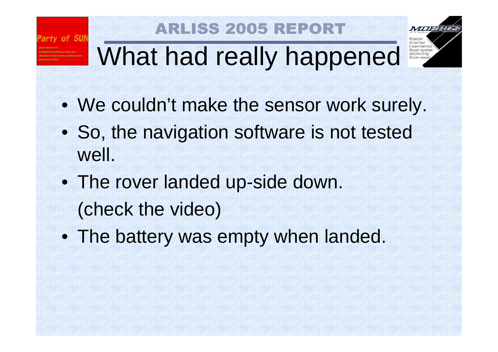#### **LISS 2005 REPO**



# What had really happened

- We couldn't make the sensor work surely.
- So, the navigation software is not tested well.
- The rover landed up-side down. (check the video)
- The battery was empty when landed.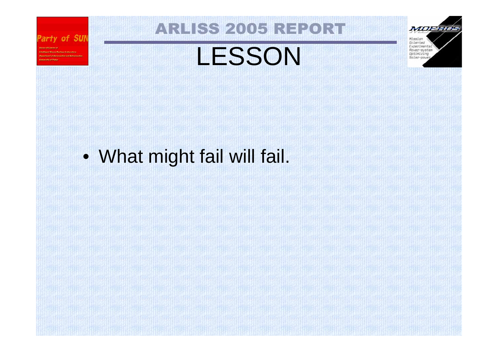

Intelligent Space Systems Interniers

**Mayne Examt of Association and Astron** 

### **ARLISS 2005 REPORT**

### LESSON

Mission Oriented Experimental Rover-system Optimizing Solar-powe:

MOERING

• What might fail will fail.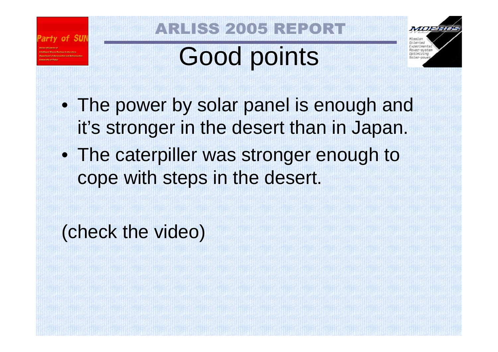

#### **RLISS 2005 REPO**

# Good points



- The power by solar panel is enough and it's stronger in the desert than in Japan.
- The caterpiller was stronger enough to cope with steps in the desert.

(check the video)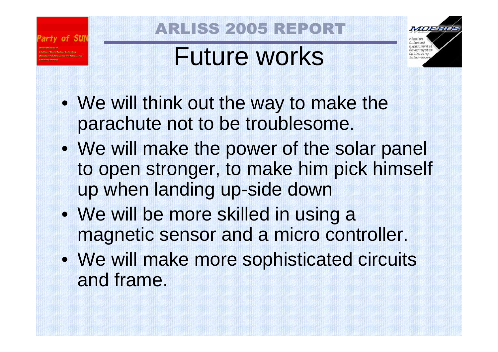

#### **LISS 2005 REPO**

### Future works

xneriment Intimizing

meen

- We will think out the way to make the parachute not to be troublesome.
- We will make the power of the solar panel to open stronger, to make him pick himself up when landing up-side down
- We will be more skilled in using a magnetic sensor and a micro controller.
- We will make more sophisticated circuits and frame.